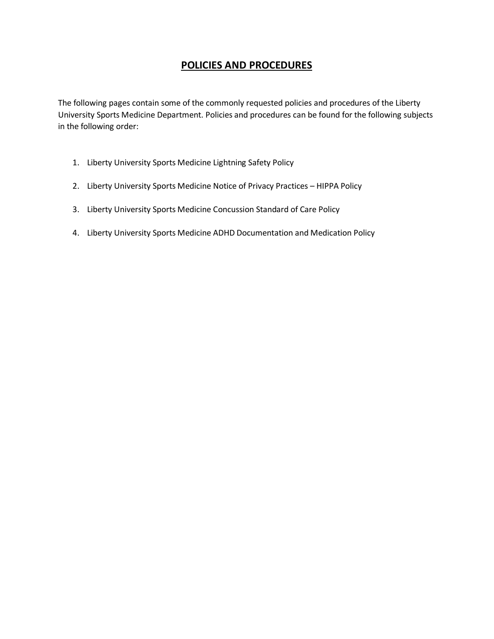# **POLICIES AND PROCEDURES**

The following pages contain some of the commonly requested policies and procedures of the Liberty University Sports Medicine Department. Policies and procedures can be found for the following subjects in the following order:

- 1. Liberty University Sports Medicine Lightning Safety Policy
- 2. Liberty University Sports Medicine Notice of Privacy Practices HIPPA Policy
- 3. Liberty University Sports Medicine Concussion Standard of Care Policy
- 4. Liberty University Sports Medicine ADHD Documentation and Medication Policy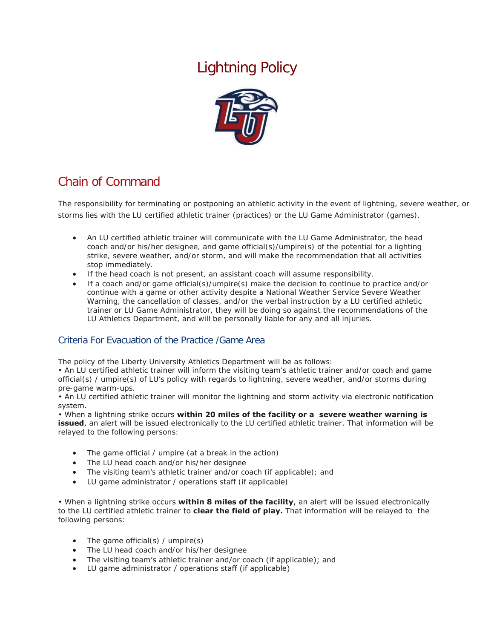# Lightning Policy



# Chain of Command

The responsibility for terminating or postponing an athletic activity in the event of lightning, severe weather, or storms lies with the LU certified athletic trainer (practices) or the LU Game Administrator (games).

- An LU certified athletic trainer will communicate with the LU Game Administrator, the head coach and/or his/her designee, and game official(s)/umpire(s) of the potential for a lighting strike, severe weather, and/or storm, and will make the recommendation that all activities stop immediately.
- If the head coach is not present, an assistant coach will assume responsibility.
- If a coach and/or game official(s)/umpire(s) make the decision to continue to practice and/or continue with a game or other activity despite a National Weather Service Severe Weather Warning, the cancellation of classes, and/or the verbal instruction by a LU certified athletic trainer or LU Game Administrator, they will be doing so against the recommendations of the LU Athletics Department, and will be personally liable for any and all injuries.

## Criteria For Evacuation of the Practice /Game Area

The policy of the Liberty University Athletics Department will be as follows:

• An LU certified athletic trainer will inform the visiting team's athletic trainer and/or coach and game official(s) / umpire(s) of LU's policy with regards to lightning, severe weather, and/or storms during pre-game warm-ups.

• An LU certified athletic trainer will monitor the lightning and storm activity via electronic notification system.

• When a lightning strike occurs **within 20 miles of the facility or a severe weather warning is issued**, an alert will be issued electronically to the LU certified athletic trainer. That information will be relayed to the following persons:

- The game official / umpire (at a break in the action)
- The LU head coach and/or his/her designee
- The visiting team's athletic trainer and/or coach (if applicable); and
- LU game administrator / operations staff (if applicable)

• When a lightning strike occurs **within 8 miles of the facility**, an alert will be issued electronically to the LU certified athletic trainer to **clear the field of play.** That information will be relayed to the following persons:

- The game official(s) / umpire(s)
- The LU head coach and/or his/her designee
- The visiting team's athletic trainer and/or coach (if applicable); and
- LU game administrator / operations staff (if applicable)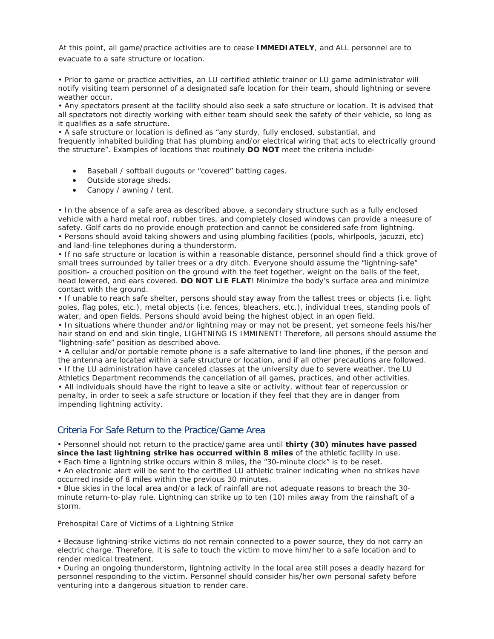At this point, all game/practice activities are to cease **IMMEDIATELY**, and ALL personnel are to evacuate to a safe structure or location.

• Prior to game or practice activities, an LU certified athletic trainer or LU game administrator will notify visiting team personnel of a designated safe location for their team, should lightning or severe weather occur.

• Any spectators present at the facility should also seek a safe structure or location. It is advised that all spectators not directly working with either team should seek the safety of their vehicle, so long as it qualifies as a safe structure.

• A safe structure or location is defined as "any sturdy, fully enclosed, substantial, and frequently inhabited building that has plumbing and/or electrical wiring that acts to electrically ground the structure". Examples of locations that routinely **DO NOT** meet the criteria include-

- Baseball / softball dugouts or "covered" batting cages.
- Outside storage sheds.
- Canopy / awning / tent.

• In the absence of a safe area as described above, a secondary structure such as a fully enclosed vehicle with a hard metal roof, rubber tires, and completely closed windows can provide a measure of safety. Golf carts do no provide enough protection and cannot be considered safe from lightning. • Persons should avoid taking showers and using plumbing facilities (pools, whirlpools, jacuzzi, etc) and land-line telephones during a thunderstorm.

• If no safe structure or location is within a reasonable distance, personnel should find a thick grove of small trees surrounded by taller trees or a dry ditch. Everyone should assume the "lightning-safe" position- a crouched position on the ground with the feet together, weight on the balls of the feet, head lowered, and ears covered. **DO NOT LIE FLAT**! Minimize the body's surface area and minimize contact with the ground.

• If unable to reach safe shelter, persons should stay away from the tallest trees or objects (i.e. light poles, flag poles, etc.), metal objects (i.e. fences, bleachers, etc.), individual trees, standing pools of water, and open fields. Persons should avoid being the highest object in an open field.

• In situations where thunder and/or lightning may or may not be present, yet someone feels his/her hair stand on end and skin tingle, LIGHTNING IS IMMINENT! Therefore, all persons should assume the "lightning-safe" position as described above.

• A cellular and/or portable remote phone is a safe alternative to land-line phones, if the person and the antenna are located within a safe structure or location, and if all other precautions are followed. • If the LU administration have canceled classes at the university due to severe weather, the LU Athletics Department recommends the cancellation of all games, practices, and other activities. • All individuals should have the right to leave a site or activity, without fear of repercussion or penalty, in order to seek a safe structure or location if they feel that they are in danger from impending lightning activity.

## Criteria For Safe Return to the Practice/Game Area

• Personnel should not return to the practice/game area until **thirty (30) minutes have passed since the last lightning strike has occurred within 8 miles** of the athletic facility in use.

• Each time a lightning strike occurs within 8 miles, the "30-minute clock" is to be reset.

• An electronic alert will be sent to the certified LU athletic trainer indicating when no strikes have occurred inside of 8 miles within the previous 30 minutes.

• Blue skies in the local area and/or a lack of rainfall are not adequate reasons to breach the 30 minute return-to-play rule. Lightning can strike up to ten (10) miles away from the rainshaft of a storm.

Prehospital Care of Victims of a Lightning Strike

• Because lightning-strike victims do not remain connected to a power source, they do not carry an electric charge. Therefore, it is safe to touch the victim to move him/her to a safe location and to render medical treatment.

• During an ongoing thunderstorm, lightning activity in the local area still poses a deadly hazard for personnel responding to the victim. Personnel should consider his/her own personal safety before venturing into a dangerous situation to render care.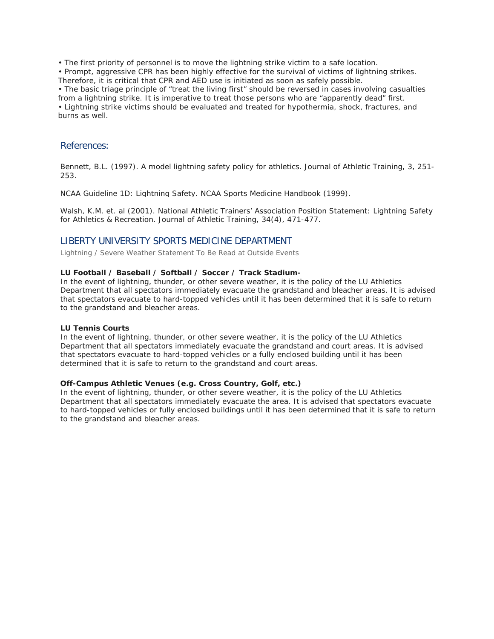• The first priority of personnel is to move the lightning strike victim to a safe location.

• Prompt, aggressive CPR has been highly effective for the survival of victims of lightning strikes. Therefore, it is critical that CPR and AED use is initiated as soon as safely possible.

• The basic triage principle of "treat the living first" should be reversed in cases involving casualties from a lightning strike. It is imperative to treat those persons who are "apparently dead" first. • Lightning strike victims should be evaluated and treated for hypothermia, shock, fractures, and burns as well.

#### References:

Bennett, B.L. (1997). A model lightning safety policy for athletics. Journal of Athletic Training, 3, 251- 253.

NCAA Guideline 1D: Lightning Safety. NCAA Sports Medicine Handbook (1999).

Walsh, K.M. et. al (2001). National Athletic Trainers' Association Position Statement: Lightning Safety for Athletics & Recreation. Journal of Athletic Training, 34(4), 471-477.

#### LIBERTY UNIVERSITY SPORTS MEDICINE DEPARTMENT

*Lightning / Severe Weather Statement To Be Read at Outside Events*

#### **LU Football / Baseball / Softball / Soccer / Track Stadium-**

In the event of lightning, thunder, or other severe weather, it is the policy of the LU Athletics Department that all spectators immediately evacuate the grandstand and bleacher areas. It is advised that spectators evacuate to hard-topped vehicles until it has been determined that it is safe to return to the grandstand and bleacher areas.

#### **LU Tennis Courts**

In the event of lightning, thunder, or other severe weather, it is the policy of the LU Athletics Department that all spectators immediately evacuate the grandstand and court areas. It is advised that spectators evacuate to hard-topped vehicles or a fully enclosed building until it has been determined that it is safe to return to the grandstand and court areas.

#### **Off-Campus Athletic Venues (e.g. Cross Country, Golf, etc.)**

In the event of lightning, thunder, or other severe weather, it is the policy of the LU Athletics Department that all spectators immediately evacuate the area. It is advised that spectators evacuate to hard-topped vehicles or fully enclosed buildings until it has been determined that it is safe to return to the grandstand and bleacher areas.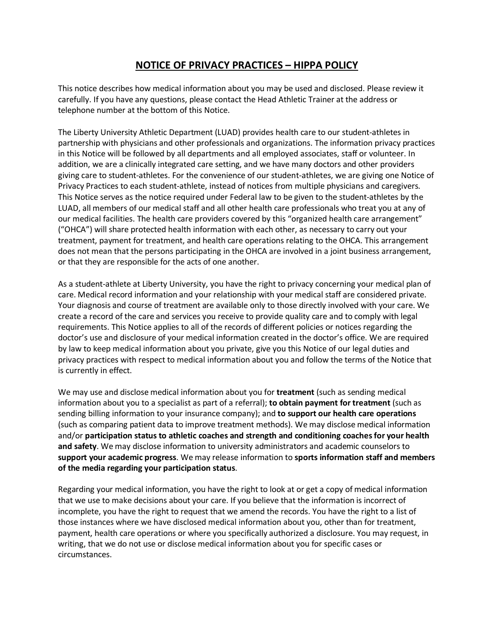# **NOTICE OF PRIVACY PRACTICES – HIPPA POLICY**

This notice describes how medical information about you may be used and disclosed. Please review it carefully. If you have any questions, please contact the Head Athletic Trainer at the address or telephone number at the bottom of this Notice.

The Liberty University Athletic Department (LUAD) provides health care to our student-athletes in partnership with physicians and other professionals and organizations. The information privacy practices in this Notice will be followed by all departments and all employed associates, staff or volunteer. In addition, we are a clinically integrated care setting, and we have many doctors and other providers giving care to student-athletes. For the convenience of our student-athletes, we are giving one Notice of Privacy Practices to each student-athlete, instead of notices from multiple physicians and caregivers. This Notice serves as the notice required under Federal law to be given to the student-athletes by the LUAD, all members of our medical staff and all other health care professionals who treat you at any of our medical facilities. The health care providers covered by this "organized health care arrangement" ("OHCA") will share protected health information with each other, as necessary to carry out your treatment, payment for treatment, and health care operations relating to the OHCA. This arrangement does not mean that the persons participating in the OHCA are involved in a joint business arrangement, or that they are responsible for the acts of one another.

As a student-athlete at Liberty University, you have the right to privacy concerning your medical plan of care. Medical record information and your relationship with your medical staff are considered private. Your diagnosis and course of treatment are available only to those directly involved with your care. We create a record of the care and services you receive to provide quality care and to comply with legal requirements. This Notice applies to all of the records of different policies or notices regarding the doctor's use and disclosure of your medical information created in the doctor's office. We are required by law to keep medical information about you private, give you this Notice of our legal duties and privacy practices with respect to medical information about you and follow the terms of the Notice that is currently in effect.

We may use and disclose medical information about you for **treatment** (such as sending medical information about you to a specialist as part of a referral); **to obtain payment for treatment** (such as sending billing information to your insurance company); and **to support our health care operations**  (such as comparing patient data to improve treatment methods). We may disclose medical information and/or **participation status to athletic coaches and strength and conditioning coaches for your health and safety**. We may disclose information to university administrators and academic counselors to **support your academic progress**. We may release information to **sports information staff and members of the media regarding your participation status**.

Regarding your medical information, you have the right to look at or get a copy of medical information that we use to make decisions about your care. If you believe that the information is incorrect of incomplete, you have the right to request that we amend the records. You have the right to a list of those instances where we have disclosed medical information about you, other than for treatment, payment, health care operations or where you specifically authorized a disclosure. You may request, in writing, that we do not use or disclose medical information about you for specific cases or circumstances.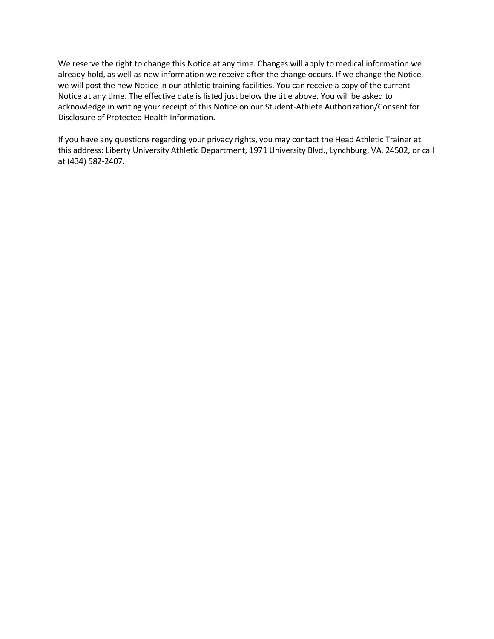We reserve the right to change this Notice at any time. Changes will apply to medical information we already hold, as well as new information we receive after the change occurs. If we change the Notice, we will post the new Notice in our athletic training facilities. You can receive a copy of the current Notice at any time. The effective date is listed just below the title above. You will be asked to acknowledge in writing your receipt of this Notice on our Student-Athlete Authorization/Consent for Disclosure of Protected Health Information.

If you have any questions regarding your privacy rights, you may contact the Head Athletic Trainer at this address: Liberty University Athletic Department, 1971 University Blvd., Lynchburg, VA, 24502, or call at (434) 582-2407.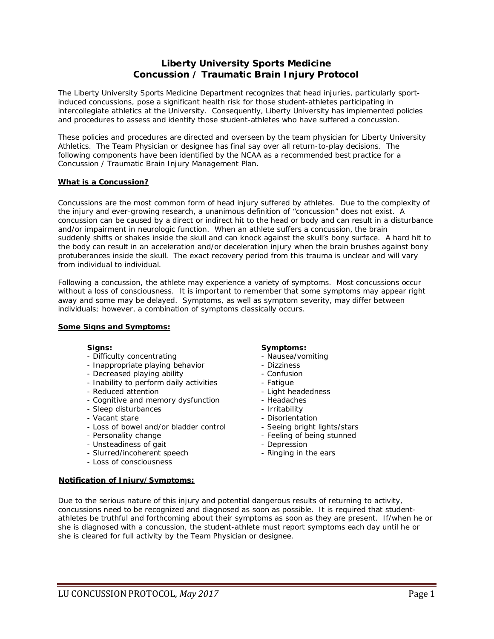## **Liberty University Sports Medicine Concussion / Traumatic Brain Injury Protocol**

The Liberty University Sports Medicine Department recognizes that head injuries, particularly sportinduced concussions, pose a significant health risk for those student-athletes participating in intercollegiate athletics at the University. Consequently, Liberty University has implemented policies and procedures to assess and identify those student-athletes who have suffered a concussion.

These policies and procedures are directed and overseen by the team physician for Liberty University Athletics. The Team Physician or designee has final say over all return-to-play decisions. The following components have been identified by the NCAA as a recommended best practice for a Concussion / Traumatic Brain Injury Management Plan.

#### **What is a Concussion?**

Concussions are the most common form of head injury suffered by athletes. Due to the complexity of the injury and ever-growing research, a unanimous definition of "concussion" does not exist. A concussion can be caused by a direct or indirect hit to the head or body and can result in a disturbance and/or impairment in neurologic function. When an athlete suffers a concussion, the brain suddenly shifts or shakes inside the skull and can knock against the skull's bony surface. A hard hit to the body can result in an acceleration and/or deceleration injury when the brain brushes against bony protuberances inside the skull. The exact recovery period from this trauma is unclear and will vary from individual to individual.

Following a concussion, the athlete may experience a variety of symptoms. Most concussions occur without a loss of consciousness. It is important to remember that some symptoms may appear right away and some may be delayed. Symptoms, as well as symptom severity, may differ between individuals; however, a combination of symptoms classically occurs.

#### **Some Signs and Symptoms:**

- Difficulty concentrating  $\overline{\phantom{a}}$  Nausea/vomiting
- Inappropriate playing behavior Dizziness
- Decreased playing ability  **Confusion**
- Inability to perform daily activities  **Fatigue**
- Reduced attention **Accord 2018** Light headedness
- Cognitive and memory dysfunction Headaches
- Sleep disturbances The Sleep disturbances
- 
- Vacant stare <br>- Disorientation<br>- Loss of bowel and/or bladder control Seeing bright lights/stars - Loss of bowel and/or bladder control<br>- Personality change
- 
- Unsteadiness of gait Depression
- Slurred/incoherent speech Ringing in the ears
- Loss of consciousness

#### **Notification of Injury/Symptoms:**

#### **Signs: Symptoms:**

- 
- 
- 
- 
- 
- 
- 
- 
- 
- Feeling of being stunned
- 
- 

Due to the serious nature of this injury and potential dangerous results of returning to activity, concussions need to be recognized and diagnosed as soon as possible. It is required that studentathletes be truthful and forthcoming about their symptoms as soon as they are present. If/when he or she is diagnosed with a concussion, the student-athlete must report symptoms each day until he or she is cleared for full activity by the Team Physician or designee.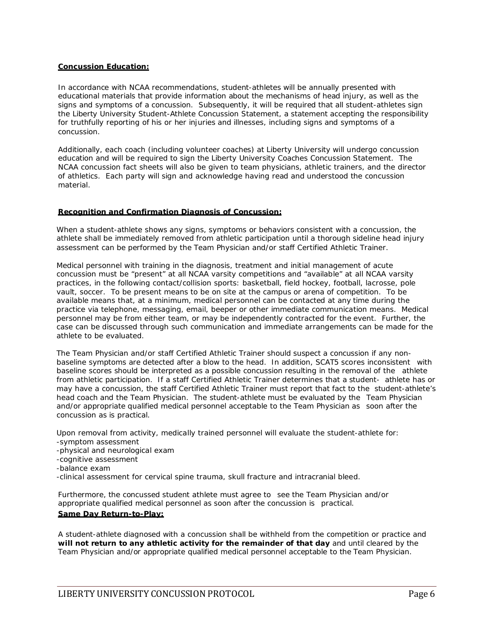#### **Concussion Education:**

In accordance with NCAA recommendations, student-athletes will be annually presented with educational materials that provide information about the mechanisms of head injury, as well as the signs and symptoms of a concussion. Subsequently, it will be required that all student-athletes sign the Liberty University Student-Athlete Concussion Statement, a statement accepting the responsibility for truthfully reporting of his or her injuries and illnesses, including signs and symptoms of a concussion.

Additionally, each coach (including volunteer coaches) at Liberty University will undergo concussion education and will be required to sign the Liberty University Coaches Concussion Statement. The NCAA concussion fact sheets will also be given to team physicians, athletic trainers, and the director of athletics. Each party will sign and acknowledge having read and understood the concussion material.

#### **Recognition and Confirmation Diagnosis of Concussion:**

When a student-athlete shows any signs, symptoms or behaviors consistent with a concussion, the athlete shall be immediately removed from athletic participation until a thorough sideline head injury assessment can be performed by the Team Physician and/or staff Certified Athletic Trainer.

Medical personnel with training in the diagnosis, treatment and initial management of acute concussion must be "present" at all NCAA varsity competitions and "available" at all NCAA varsity practices, in the following contact/collision sports: basketball, field hockey, football, lacrosse, pole vault, soccer. To be present means to be on site at the campus or arena of competition. To be available means that, at a minimum, medical personnel can be contacted at any time during the practice via telephone, messaging, email, beeper or other immediate communication means. Medical personnel may be from either team, or may be independently contracted for the event. Further, the case can be discussed through such communication and immediate arrangements can be made for the athlete to be evaluated.

The Team Physician and/or staff Certified Athletic Trainer should suspect a concussion if any nonbaseline symptoms are detected after a blow to the head. In addition, SCAT5 scores inconsistent with baseline scores should be interpreted as a possible concussion resulting in the removal of the athlete from athletic participation. If a staff Certified Athletic Trainer determines that a student- athlete has or may have a concussion, the staff Certified Athletic Trainer must report that fact to the student-athlete's head coach and the Team Physician. The student-athlete must be evaluated by the Team Physician and/or appropriate qualified medical personnel acceptable to the Team Physician as soon after the concussion as is practical.

Upon removal from activity, medically trained personnel will evaluate the student-athlete for: -symptom assessment -physical and neurological exam -cognitive assessment -balance exam -clinical assessment for cervical spine trauma, skull fracture and intracranial bleed.

Furthermore, the concussed student athlete must agree to see the Team Physician and/or appropriate qualified medical personnel as soon after the concussion is practical. **Same Day Return-to-Play:**

A student-athlete diagnosed with a concussion shall be withheld from the competition or practice and **will not return to any athletic activity for the remainder of that day** and until cleared by the Team Physician and/or appropriate qualified medical personnel acceptable to the Team Physician.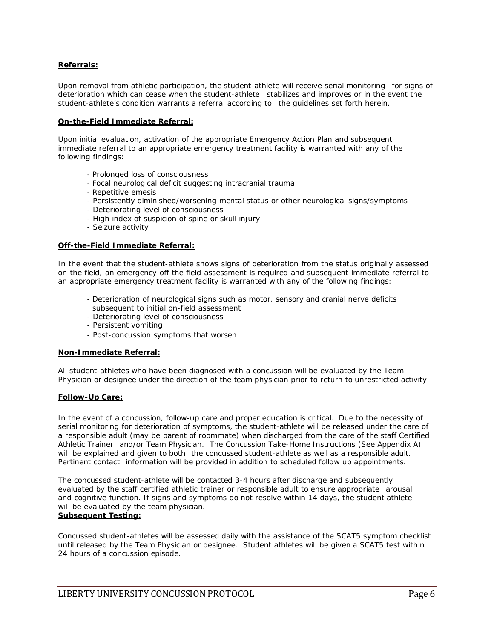#### **Referrals:**

Upon removal from athletic participation, the student-athlete will receive serial monitoring for signs of deterioration which can cease when the student-athlete stabilizes and improves or in the event the student-athlete's condition warrants a referral according to the guidelines set forth herein.

#### **On-the-Field Immediate Referral:**

Upon initial evaluation, activation of the appropriate Emergency Action Plan and subsequent immediate referral to an appropriate emergency treatment facility is warranted with any of the following findings:

- Prolonged loss of consciousness
- Focal neurological deficit suggesting intracranial trauma
- Repetitive emesis
- Persistently diminished/worsening mental status or other neurological signs/symptoms
- Deteriorating level of consciousness
- High index of suspicion of spine or skull injury
- Seizure activity

#### **Off-the-Field Immediate Referral:**

In the event that the student-athlete shows signs of deterioration from the status originally assessed on the field, an emergency off the field assessment is required and subsequent immediate referral to an appropriate emergency treatment facility is warranted with any of the following findings:

- Deterioration of neurological signs such as motor, sensory and cranial nerve deficits subsequent to initial on-field assessment
- Deteriorating level of consciousness
- Persistent vomiting
- Post-concussion symptoms that worsen

#### **Non-Immediate Referral:**

All student-athletes who have been diagnosed with a concussion will be evaluated by the Team Physician or designee under the direction of the team physician prior to return to unrestricted activity.

#### **Follow-Up Care:**

In the event of a concussion, follow-up care and proper education is critical. Due to the necessity of serial monitoring for deterioration of symptoms, the student-athlete will be released under the care of a responsible adult (may be parent of roommate) when discharged from the care of the staff Certified Athletic Trainer and/or Team Physician. The Concussion Take-Home Instructions (See Appendix A) will be explained and given to both the concussed student-athlete as well as a responsible adult. Pertinent contact information will be provided in addition to scheduled follow up appointments.

The concussed student-athlete will be contacted 3-4 hours after discharge and subsequently evaluated by the staff certified athletic trainer or responsible adult to ensure appropriate arousal and cognitive function. If signs and symptoms do not resolve within 14 days, the student athlete will be evaluated by the team physician.

#### **Subsequent Testing:**

Concussed student-athletes will be assessed daily with the assistance of the SCAT5 symptom checklist until released by the Team Physician or designee. Student athletes will be given a SCAT5 test within 24 hours of a concussion episode.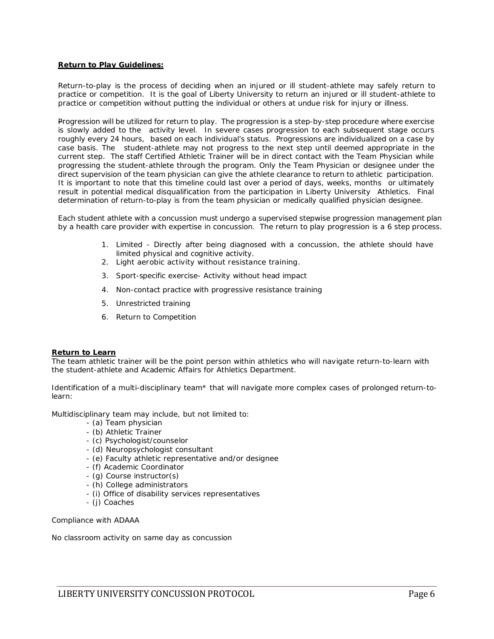#### **Return to Play Guidelines:**

Return-to-play is the process of deciding when an injured or ill student-athlete may safely return to practice or competition. It is the goal of Liberty University to return an injured or ill student-athlete to practice or competition without putting the individual or others at undue risk for injury or illness.

Progression will be utilized for return to play. The progression is a step-by-step procedure where exercise is slowly added to the activity level. In severe cases progression to each subsequent stage occurs roughly every 24 hours, based on each individual's status. Progressions are individualized on a case by case basis. The student-athlete may not progress to the next step until deemed appropriate in the current step. The staff Certified Athletic Trainer will be in direct contact with the Team Physician while progressing the student-athlete through the program. Only the Team Physician or designee under the direct supervision of the team physician can give the athlete clearance to return to athletic participation. It is important to note that this timeline could last over a period of days, weeks, months or ultimately result in potential medical disqualification from the participation in Liberty University Athletics. Final determination of return-to-play is from the team physician or medically qualified physician designee.

Each student athlete with a concussion must undergo a supervised stepwise progression management plan by a health care provider with expertise in concussion. The return to play progression is a 6 step process.

- 1. Limited Directly after being diagnosed with a concussion, the athlete should have limited physical and cognitive activity.
- 2. Light aerobic activity without resistance training.
- 3. Sport-specific exercise- Activity without head impact
- 4. Non-contact practice with progressive resistance training
- 5. Unrestricted training
- 6. Return to Competition

#### **Return to Learn**

The team athletic trainer will be the point person within athletics who will navigate return-to-learn with the student-athlete and Academic Affairs for Athletics Department.

Identification of a multi-disciplinary team\* that will navigate more complex cases of prolonged return-tolearn:

Multidisciplinary team may include, but not limited to:

- (a) Team physician
- (b) Athletic Trainer
- (c) Psychologist/counselor
- (d) Neuropsychologist consultant
- (e) Faculty athletic representative and/or designee
- (f) Academic Coordinator
- (g) Course instructor(s)
- (h) College administrators
- (i) Office of disability services representatives
- (j) Coaches

Compliance with ADAAA

No classroom activity on same day as concussion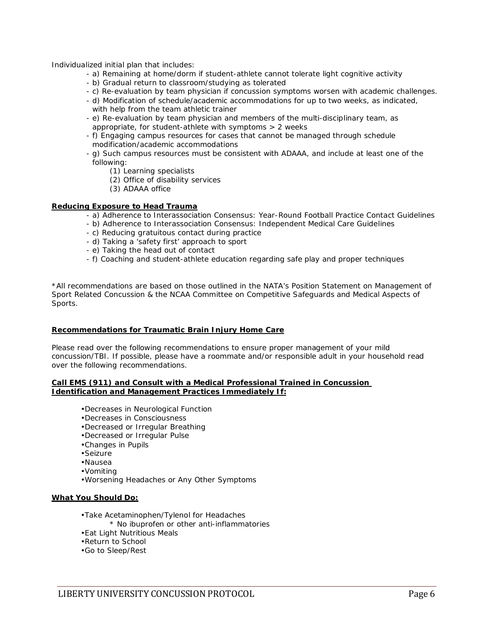Individualized initial plan that includes:

- a) Remaining at home/dorm if student-athlete cannot tolerate light cognitive activity
- b) Gradual return to classroom/studying as tolerated
- c) Re-evaluation by team physician if concussion symptoms worsen with academic challenges.
- d) Modification of schedule/academic accommodations for up to two weeks, as indicated, with help from the team athletic trainer
- e) Re-evaluation by team physician and members of the multi-disciplinary team, as appropriate, for student-athlete with symptoms > 2 weeks
- f) Engaging campus resources for cases that cannot be managed through schedule modification/academic accommodations
- g) Such campus resources must be consistent with ADAAA, and include at least one of the following:
	- (1) Learning specialists
	- (2) Office of disability services
	- (3) ADAAA office

#### **Reducing Exposure to Head Trauma**

- a) Adherence to Interassociation Consensus: Year-Round Football Practice Contact Guidelines
- b) Adherence to Interassociation Consensus: Independent Medical Care Guidelines
- c) Reducing gratuitous contact during practice
- d) Taking a 'safety first' approach to sport
- e) Taking the head out of contact
- f) Coaching and student-athlete education regarding safe play and proper techniques

\*All recommendations are based on those outlined in the NATA's Position Statement on Management of Sport Related Concussion & the NCAA Committee on Competitive Safeguards and Medical Aspects of Sports.

#### **Recommendations for Traumatic Brain Injury Home Care**

Please read over the following recommendations to ensure proper management of your mild concussion/TBI. If possible, please have a roommate and/or responsible adult in your household read over the following recommendations.

#### **Call EMS (911) and Consult with a Medical Professional Trained in Concussion Identification and Management Practices Immediately If:**

- •Decreases in Neurological Function
- •Decreases in Consciousness
- •Decreased or Irregular Breathing
- •Decreased or Irregular Pulse
- •Changes in Pupils
- •Seizure
- •Nausea
- •Vomiting
- •Worsening Headaches or Any Other Symptoms

#### **What You Should Do:**

- •Take Acetaminophen/Tylenol for Headaches
	- \* No ibuprofen or other anti-inflammatories
- •Eat Light Nutritious Meals
- •Return to School
- •Go to Sleep/Rest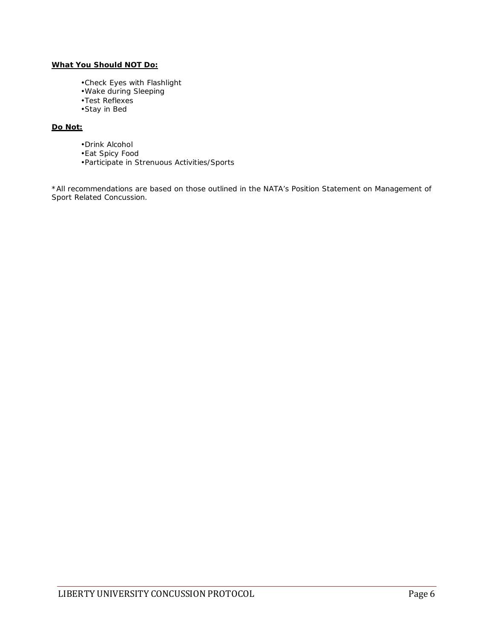#### **What You Should NOT Do:**

- •Check Eyes with Flashlight
- •Wake during Sleeping
- •Test Reflexes
- •Stay in Bed

### **Do Not:**

- •Drink Alcohol
- •Eat Spicy Food
- •Participate in Strenuous Activities/Sports

\*All recommendations are based on those outlined in the NATA's Position Statement on Management of Sport Related Concussion.